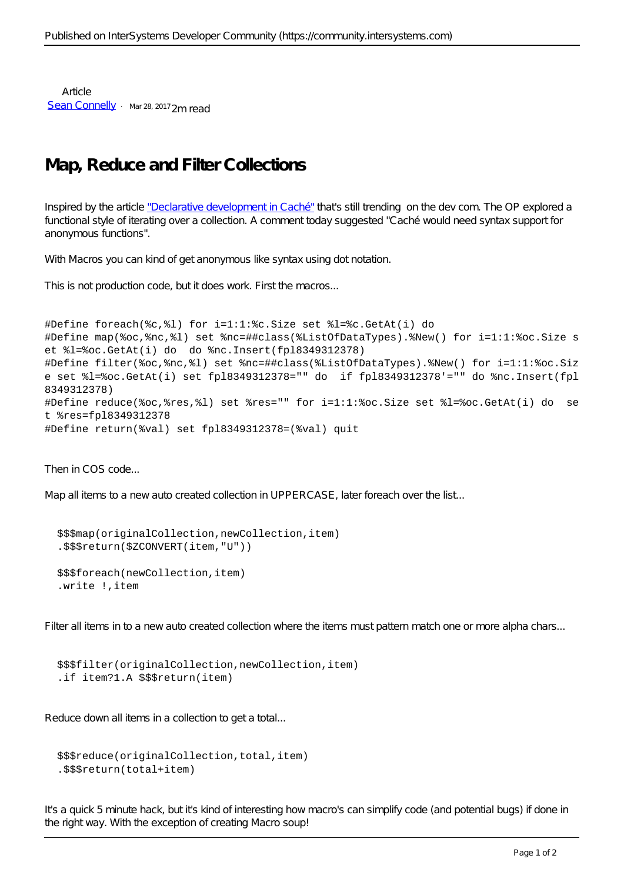Article [Sean Connelly](https://community.intersystems.com/user/sean-connelly) · Mar 28, 2017 2m read

## **Map, Reduce and Filter Collections**

Inspired by the article ["Declarative development in Caché"](https://community.intersystems.com/post/declarative-development-cach%C3%A9) that's still trending on the dev com. The OP explored a functional style of iterating over a collection. A comment today suggested "Caché would need syntax support for anonymous functions".

With Macros you can kind of get anonymous like syntax using dot notation.

This is not production code, but it does work. First the macros...

```
#Define foreach(%c,%l) for i=1:1:%c.Size set %l=%c.GetAt(i) do
#Define map(%oc,%nc,%l) set %nc=##class(%ListOfDataTypes).%New() for i=1:1:%oc.Size s
et %l=%oc.GetAt(i) do do %nc.Insert(fpl8349312378)
#Define filter(%oc,%nc,%l) set %nc=##class(%ListOfDataTypes).%New() for i=1:1:%oc.Siz
e set %l=%oc.GetAt(i) set fpl8349312378="" do if fpl8349312378'="" do %nc.Insert(fpl
8349312378)
#Define reduce(%oc,%res,%l) set %res="" for i=1:1:%oc.Size set %l=%oc.GetAt(i) do se
t %res=fpl8349312378
#Define return(%val) set fpl8349312378=(%val) quit
```
Then in COS code...

Map all items to a new auto created collection in UPPERCASE, later foreach over the list...

```
 $$$map(originalCollection,newCollection,item)
 .$$$return($ZCONVERT(item,"U"))
```

```
 $$$foreach(newCollection,item)
 .write !,item
```
Filter all items in to a new auto created collection where the items must pattern match one or more alpha chars...

```
 $$$filter(originalCollection,newCollection,item)
 .if item?1.A $$$return(item)
```
Reduce down all items in a collection to get a total...

```
 $$$reduce(originalCollection,total,item)
 .$$$return(total+item)
```
It's a quick 5 minute hack, but it's kind of interesting how macro's can simplify code (and potential bugs) if done in the right way. With the exception of creating Macro soup!